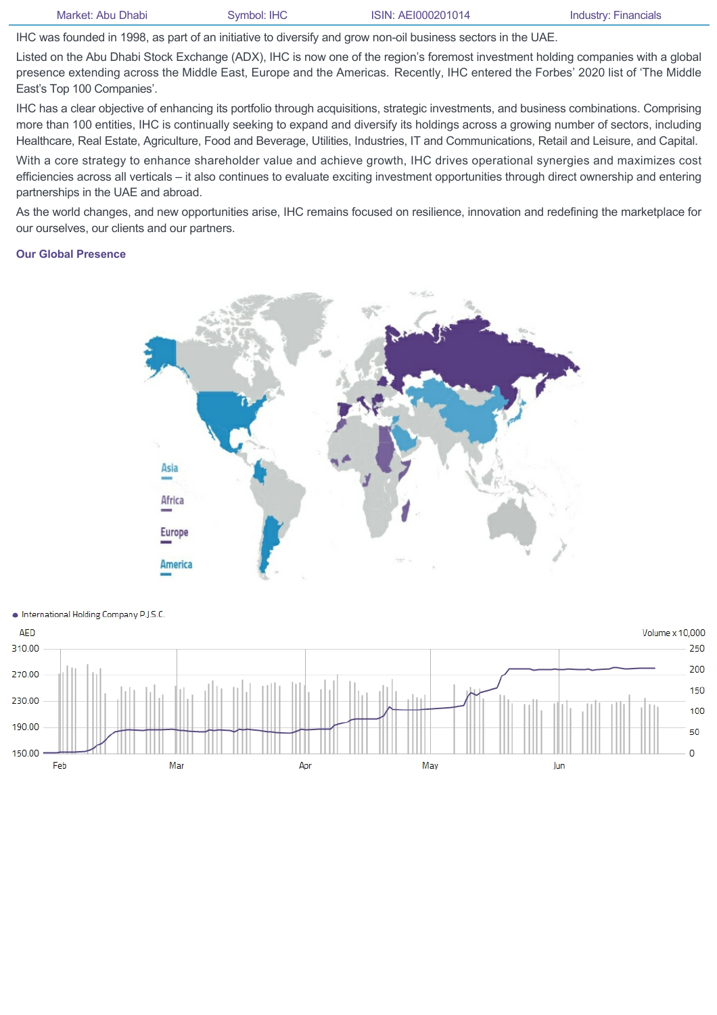IHC was founded in 1998, as part of an initiative to diversify and grow non-oil business sectors in the UAE.

Listed on the Abu Dhabi Stock Exchange (ADX), IHC is now one of the region's foremost investment holding companies with a global presence extending across the Middle East, Europe and the Americas. Recently, IHC entered the Forbes' 2020 list of 'The Middle East's Top 100 Companies'.

IHC has a clear objective of enhancing its portfolio through acquisitions, strategic investments, and business combinations. Comprising more than 100 entities, IHC is continually seeking to expand and diversify its holdings across a growing number of sectors, including Healthcare, Real Estate, Agriculture, Food and Beverage, Utilities, Industries, IT and Communications, Retail and Leisure, and Capital.

With a core strategy to enhance shareholder value and achieve growth, IHC drives operational synergies and maximizes cost efficiencies across all verticals – it also continues to evaluate exciting investment opportunities through direct ownership and entering partnerships in the UAE and abroad.

As the world changes, and new opportunities arise, IHC remains focused on resilience, innovation and redefining the marketplace for our ourselves, our clients and our partners.

## **Our Global Presence**